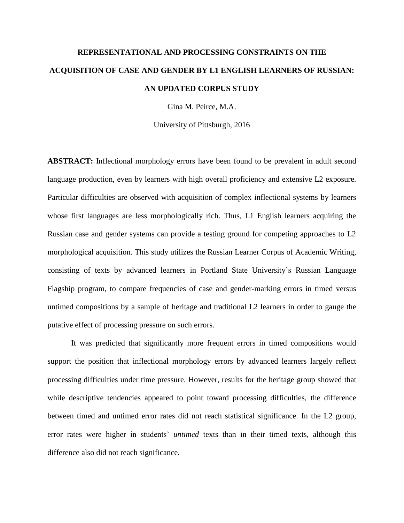# **REPRESENTATIONAL AND PROCESSING CONSTRAINTS ON THE ACQUISITION OF CASE AND GENDER BY L1 ENGLISH LEARNERS OF RUSSIAN: AN UPDATED CORPUS STUDY**

Gina M. Peirce, M.A.

University of Pittsburgh, 2016

**ABSTRACT:** Inflectional morphology errors have been found to be prevalent in adult second language production, even by learners with high overall proficiency and extensive L2 exposure. Particular difficulties are observed with acquisition of complex inflectional systems by learners whose first languages are less morphologically rich. Thus, L1 English learners acquiring the Russian case and gender systems can provide a testing ground for competing approaches to L2 morphological acquisition. This study utilizes the Russian Learner Corpus of Academic Writing, consisting of texts by advanced learners in Portland State University's Russian Language Flagship program, to compare frequencies of case and gender-marking errors in timed versus untimed compositions by a sample of heritage and traditional L2 learners in order to gauge the putative effect of processing pressure on such errors.

It was predicted that significantly more frequent errors in timed compositions would support the position that inflectional morphology errors by advanced learners largely reflect processing difficulties under time pressure. However, results for the heritage group showed that while descriptive tendencies appeared to point toward processing difficulties, the difference between timed and untimed error rates did not reach statistical significance. In the L2 group, error rates were higher in students' *untimed* texts than in their timed texts, although this difference also did not reach significance.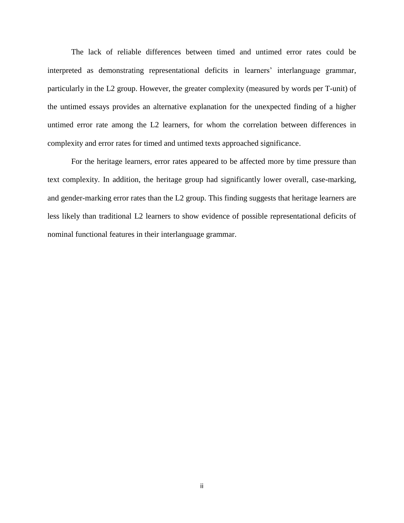The lack of reliable differences between timed and untimed error rates could be interpreted as demonstrating representational deficits in learners' interlanguage grammar, particularly in the L2 group. However, the greater complexity (measured by words per T-unit) of the untimed essays provides an alternative explanation for the unexpected finding of a higher untimed error rate among the L2 learners, for whom the correlation between differences in complexity and error rates for timed and untimed texts approached significance.

For the heritage learners, error rates appeared to be affected more by time pressure than text complexity. In addition, the heritage group had significantly lower overall, case-marking, and gender-marking error rates than the L2 group. This finding suggests that heritage learners are less likely than traditional L2 learners to show evidence of possible representational deficits of nominal functional features in their interlanguage grammar.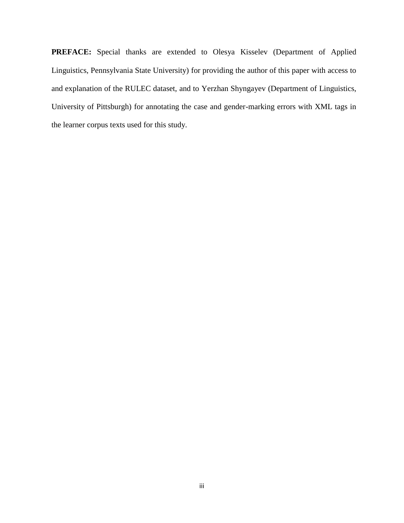**PREFACE:** Special thanks are extended to Olesya Kisselev (Department of Applied Linguistics, Pennsylvania State University) for providing the author of this paper with access to and explanation of the RULEC dataset, and to Yerzhan Shyngayev (Department of Linguistics, University of Pittsburgh) for annotating the case and gender-marking errors with XML tags in the learner corpus texts used for this study.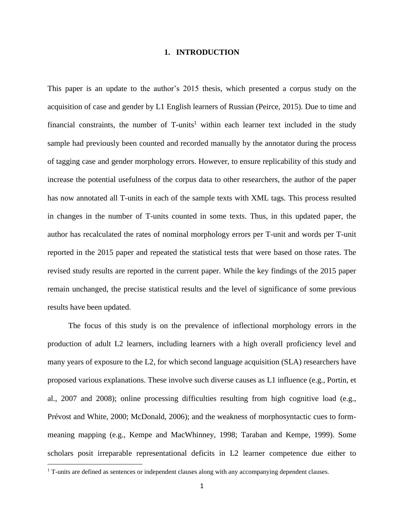## **1. INTRODUCTION**

This paper is an update to the author's 2015 thesis, which presented a corpus study on the acquisition of case and gender by L1 English learners of Russian (Peirce, 2015). Due to time and financial constraints, the number of  $T$ -units<sup>1</sup> within each learner text included in the study sample had previously been counted and recorded manually by the annotator during the process of tagging case and gender morphology errors. However, to ensure replicability of this study and increase the potential usefulness of the corpus data to other researchers, the author of the paper has now annotated all T-units in each of the sample texts with XML tags. This process resulted in changes in the number of T-units counted in some texts. Thus, in this updated paper, the author has recalculated the rates of nominal morphology errors per T-unit and words per T-unit reported in the 2015 paper and repeated the statistical tests that were based on those rates. The revised study results are reported in the current paper. While the key findings of the 2015 paper remain unchanged, the precise statistical results and the level of significance of some previous results have been updated.

The focus of this study is on the prevalence of inflectional morphology errors in the production of adult L2 learners, including learners with a high overall proficiency level and many years of exposure to the L2, for which second language acquisition (SLA) researchers have proposed various explanations. These involve such diverse causes as L1 influence (e.g., Portin, et al., 2007 and 2008); online processing difficulties resulting from high cognitive load (e.g., Prévost and White, 2000; McDonald, 2006); and the weakness of morphosyntactic cues to formmeaning mapping (e.g., Kempe and MacWhinney, 1998; Taraban and Kempe, 1999). Some scholars posit irreparable representational deficits in L2 learner competence due either to

 $\overline{\phantom{a}}$ 

<sup>&</sup>lt;sup>1</sup> T-units are defined as sentences or independent clauses along with any accompanying dependent clauses.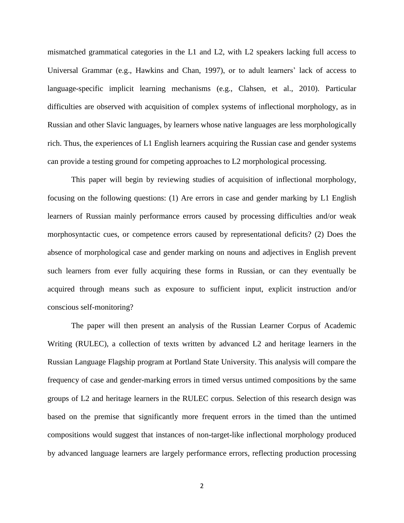mismatched grammatical categories in the L1 and L2, with L2 speakers lacking full access to Universal Grammar (e.g., Hawkins and Chan, 1997), or to adult learners' lack of access to language-specific implicit learning mechanisms (e.g., Clahsen, et al., 2010). Particular difficulties are observed with acquisition of complex systems of inflectional morphology, as in Russian and other Slavic languages, by learners whose native languages are less morphologically rich. Thus, the experiences of L1 English learners acquiring the Russian case and gender systems can provide a testing ground for competing approaches to L2 morphological processing.

This paper will begin by reviewing studies of acquisition of inflectional morphology, focusing on the following questions: (1) Are errors in case and gender marking by L1 English learners of Russian mainly performance errors caused by processing difficulties and/or weak morphosyntactic cues, or competence errors caused by representational deficits? (2) Does the absence of morphological case and gender marking on nouns and adjectives in English prevent such learners from ever fully acquiring these forms in Russian, or can they eventually be acquired through means such as exposure to sufficient input, explicit instruction and/or conscious self-monitoring?

The paper will then present an analysis of the Russian Learner Corpus of Academic Writing (RULEC), a collection of texts written by advanced L2 and heritage learners in the Russian Language Flagship program at Portland State University. This analysis will compare the frequency of case and gender-marking errors in timed versus untimed compositions by the same groups of L2 and heritage learners in the RULEC corpus. Selection of this research design was based on the premise that significantly more frequent errors in the timed than the untimed compositions would suggest that instances of non-target-like inflectional morphology produced by advanced language learners are largely performance errors, reflecting production processing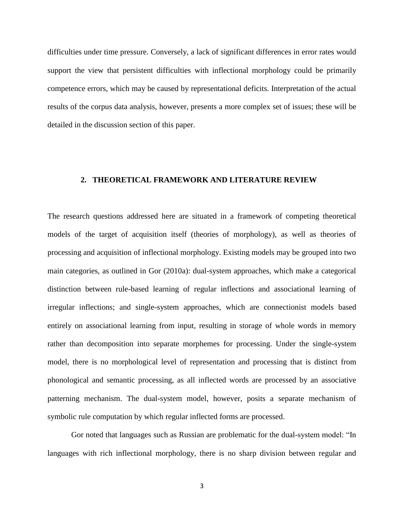difficulties under time pressure. Conversely, a lack of significant differences in error rates would support the view that persistent difficulties with inflectional morphology could be primarily competence errors, which may be caused by representational deficits. Interpretation of the actual results of the corpus data analysis, however, presents a more complex set of issues; these will be detailed in the discussion section of this paper.

## **2. THEORETICAL FRAMEWORK AND LITERATURE REVIEW**

The research questions addressed here are situated in a framework of competing theoretical models of the target of acquisition itself (theories of morphology), as well as theories of processing and acquisition of inflectional morphology. Existing models may be grouped into two main categories, as outlined in Gor (2010a): dual-system approaches, which make a categorical distinction between rule-based learning of regular inflections and associational learning of irregular inflections; and single-system approaches, which are connectionist models based entirely on associational learning from input, resulting in storage of whole words in memory rather than decomposition into separate morphemes for processing. Under the single-system model, there is no morphological level of representation and processing that is distinct from phonological and semantic processing, as all inflected words are processed by an associative patterning mechanism. The dual-system model, however, posits a separate mechanism of symbolic rule computation by which regular inflected forms are processed.

Gor noted that languages such as Russian are problematic for the dual-system model: "In languages with rich inflectional morphology, there is no sharp division between regular and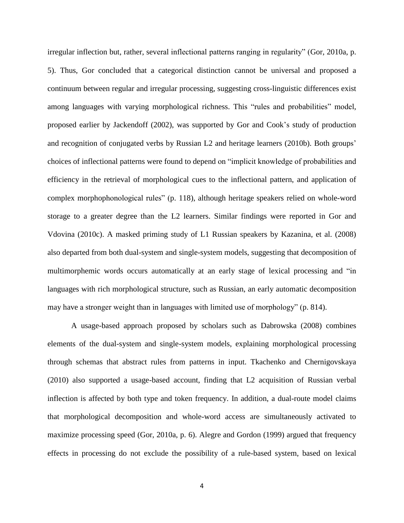irregular inflection but, rather, several inflectional patterns ranging in regularity" (Gor, 2010a, p. 5). Thus, Gor concluded that a categorical distinction cannot be universal and proposed a continuum between regular and irregular processing, suggesting cross-linguistic differences exist among languages with varying morphological richness. This "rules and probabilities" model, proposed earlier by Jackendoff (2002), was supported by Gor and Cook's study of production and recognition of conjugated verbs by Russian L2 and heritage learners (2010b). Both groups' choices of inflectional patterns were found to depend on "implicit knowledge of probabilities and efficiency in the retrieval of morphological cues to the inflectional pattern, and application of complex morphophonological rules" (p. 118), although heritage speakers relied on whole-word storage to a greater degree than the L2 learners. Similar findings were reported in Gor and Vdovina (2010c). A masked priming study of L1 Russian speakers by Kazanina, et al. (2008) also departed from both dual-system and single-system models, suggesting that decomposition of multimorphemic words occurs automatically at an early stage of lexical processing and "in languages with rich morphological structure, such as Russian, an early automatic decomposition may have a stronger weight than in languages with limited use of morphology" (p. 814).

A usage-based approach proposed by scholars such as Dabrowska (2008) combines elements of the dual-system and single-system models, explaining morphological processing through schemas that abstract rules from patterns in input. Tkachenko and Chernigovskaya (2010) also supported a usage-based account, finding that L2 acquisition of Russian verbal inflection is affected by both type and token frequency. In addition, a dual-route model claims that morphological decomposition and whole-word access are simultaneously activated to maximize processing speed (Gor, 2010a, p. 6). Alegre and Gordon (1999) argued that frequency effects in processing do not exclude the possibility of a rule-based system, based on lexical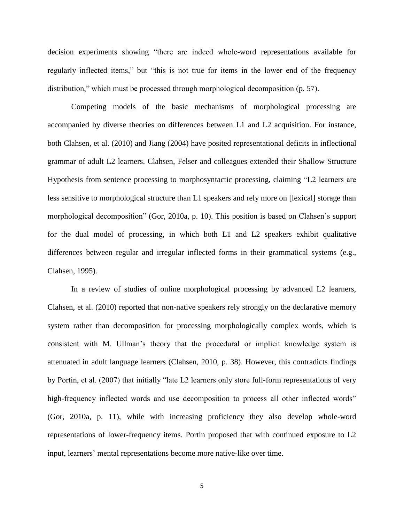decision experiments showing "there are indeed whole-word representations available for regularly inflected items," but "this is not true for items in the lower end of the frequency distribution," which must be processed through morphological decomposition (p. 57).

Competing models of the basic mechanisms of morphological processing are accompanied by diverse theories on differences between L1 and L2 acquisition. For instance, both Clahsen, et al. (2010) and Jiang (2004) have posited representational deficits in inflectional grammar of adult L2 learners. Clahsen, Felser and colleagues extended their Shallow Structure Hypothesis from sentence processing to morphosyntactic processing, claiming "L2 learners are less sensitive to morphological structure than L1 speakers and rely more on [lexical] storage than morphological decomposition" (Gor, 2010a, p. 10). This position is based on Clahsen's support for the dual model of processing, in which both L1 and L2 speakers exhibit qualitative differences between regular and irregular inflected forms in their grammatical systems (e.g., Clahsen, 1995).

In a review of studies of online morphological processing by advanced L2 learners, Clahsen, et al. (2010) reported that non-native speakers rely strongly on the declarative memory system rather than decomposition for processing morphologically complex words, which is consistent with M. Ullman's theory that the procedural or implicit knowledge system is attenuated in adult language learners (Clahsen, 2010, p. 38). However, this contradicts findings by Portin, et al. (2007) that initially "late L2 learners only store full-form representations of very high-frequency inflected words and use decomposition to process all other inflected words" (Gor, 2010a, p. 11), while with increasing proficiency they also develop whole-word representations of lower-frequency items. Portin proposed that with continued exposure to L2 input, learners' mental representations become more native-like over time.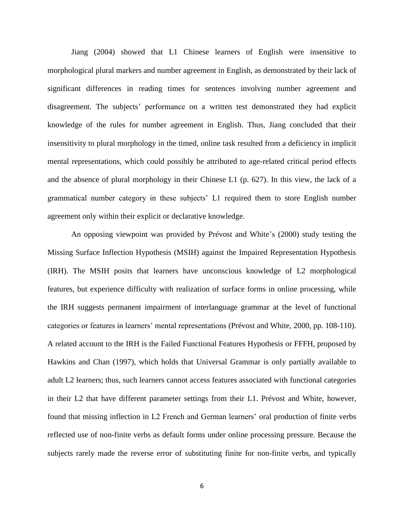Jiang (2004) showed that L1 Chinese learners of English were insensitive to morphological plural markers and number agreement in English, as demonstrated by their lack of significant differences in reading times for sentences involving number agreement and disagreement. The subjects' performance on a written test demonstrated they had explicit knowledge of the rules for number agreement in English. Thus, Jiang concluded that their insensitivity to plural morphology in the timed, online task resulted from a deficiency in implicit mental representations, which could possibly be attributed to age-related critical period effects and the absence of plural morphology in their Chinese L1 (p. 627). In this view, the lack of a grammatical number category in these subjects' L1 required them to store English number agreement only within their explicit or declarative knowledge.

An opposing viewpoint was provided by Prévost and White's (2000) study testing the Missing Surface Inflection Hypothesis (MSIH) against the Impaired Representation Hypothesis (IRH). The MSIH posits that learners have unconscious knowledge of L2 morphological features, but experience difficulty with realization of surface forms in online processing, while the IRH suggests permanent impairment of interlanguage grammar at the level of functional categories or features in learners' mental representations (Prévost and White, 2000, pp. 108-110). A related account to the IRH is the Failed Functional Features Hypothesis or FFFH, proposed by Hawkins and Chan (1997), which holds that Universal Grammar is only partially available to adult L2 learners; thus, such learners cannot access features associated with functional categories in their L2 that have different parameter settings from their L1. Prévost and White, however, found that missing inflection in L2 French and German learners' oral production of finite verbs reflected use of non-finite verbs as default forms under online processing pressure. Because the subjects rarely made the reverse error of substituting finite for non-finite verbs, and typically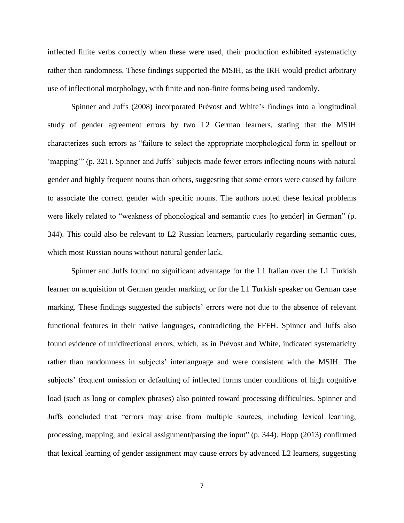inflected finite verbs correctly when these were used, their production exhibited systematicity rather than randomness. These findings supported the MSIH, as the IRH would predict arbitrary use of inflectional morphology, with finite and non-finite forms being used randomly.

Spinner and Juffs (2008) incorporated Prévost and White's findings into a longitudinal study of gender agreement errors by two L2 German learners, stating that the MSIH characterizes such errors as "failure to select the appropriate morphological form in spellout or 'mapping'" (p. 321). Spinner and Juffs' subjects made fewer errors inflecting nouns with natural gender and highly frequent nouns than others, suggesting that some errors were caused by failure to associate the correct gender with specific nouns. The authors noted these lexical problems were likely related to "weakness of phonological and semantic cues [to gender] in German" (p. 344). This could also be relevant to L2 Russian learners, particularly regarding semantic cues, which most Russian nouns without natural gender lack.

Spinner and Juffs found no significant advantage for the L1 Italian over the L1 Turkish learner on acquisition of German gender marking, or for the L1 Turkish speaker on German case marking. These findings suggested the subjects' errors were not due to the absence of relevant functional features in their native languages, contradicting the FFFH. Spinner and Juffs also found evidence of unidirectional errors, which, as in Prévost and White, indicated systematicity rather than randomness in subjects' interlanguage and were consistent with the MSIH. The subjects' frequent omission or defaulting of inflected forms under conditions of high cognitive load (such as long or complex phrases) also pointed toward processing difficulties. Spinner and Juffs concluded that "errors may arise from multiple sources, including lexical learning, processing, mapping, and lexical assignment/parsing the input" (p. 344). Hopp (2013) confirmed that lexical learning of gender assignment may cause errors by advanced L2 learners, suggesting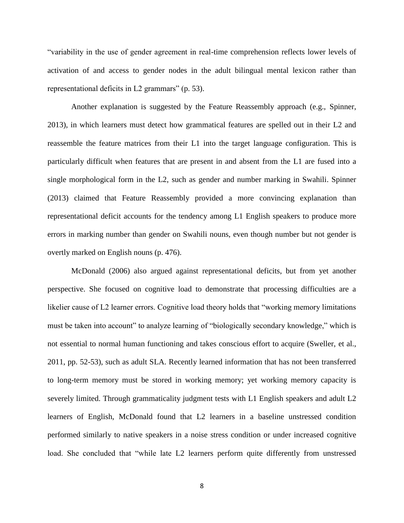"variability in the use of gender agreement in real-time comprehension reflects lower levels of activation of and access to gender nodes in the adult bilingual mental lexicon rather than representational deficits in L2 grammars" (p. 53).

Another explanation is suggested by the Feature Reassembly approach (e.g., Spinner, 2013), in which learners must detect how grammatical features are spelled out in their L2 and reassemble the feature matrices from their L1 into the target language configuration. This is particularly difficult when features that are present in and absent from the L1 are fused into a single morphological form in the L2, such as gender and number marking in Swahili. Spinner (2013) claimed that Feature Reassembly provided a more convincing explanation than representational deficit accounts for the tendency among L1 English speakers to produce more errors in marking number than gender on Swahili nouns, even though number but not gender is overtly marked on English nouns (p. 476).

McDonald (2006) also argued against representational deficits, but from yet another perspective. She focused on cognitive load to demonstrate that processing difficulties are a likelier cause of L2 learner errors. Cognitive load theory holds that "working memory limitations must be taken into account" to analyze learning of "biologically secondary knowledge," which is not essential to normal human functioning and takes conscious effort to acquire (Sweller, et al., 2011, pp. 52-53), such as adult SLA. Recently learned information that has not been transferred to long-term memory must be stored in working memory; yet working memory capacity is severely limited. Through grammaticality judgment tests with L1 English speakers and adult L2 learners of English, McDonald found that L2 learners in a baseline unstressed condition performed similarly to native speakers in a noise stress condition or under increased cognitive load. She concluded that "while late L2 learners perform quite differently from unstressed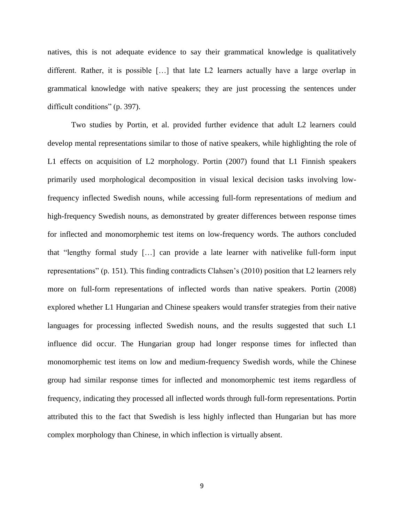natives, this is not adequate evidence to say their grammatical knowledge is qualitatively different. Rather, it is possible […] that late L2 learners actually have a large overlap in grammatical knowledge with native speakers; they are just processing the sentences under difficult conditions" (p. 397).

Two studies by Portin, et al. provided further evidence that adult L2 learners could develop mental representations similar to those of native speakers, while highlighting the role of L1 effects on acquisition of L2 morphology. Portin (2007) found that L1 Finnish speakers primarily used morphological decomposition in visual lexical decision tasks involving lowfrequency inflected Swedish nouns, while accessing full-form representations of medium and high-frequency Swedish nouns, as demonstrated by greater differences between response times for inflected and monomorphemic test items on low-frequency words. The authors concluded that "lengthy formal study […] can provide a late learner with nativelike full-form input representations" (p. 151). This finding contradicts Clahsen's (2010) position that L2 learners rely more on full-form representations of inflected words than native speakers. Portin (2008) explored whether L1 Hungarian and Chinese speakers would transfer strategies from their native languages for processing inflected Swedish nouns, and the results suggested that such L1 influence did occur. The Hungarian group had longer response times for inflected than monomorphemic test items on low and medium-frequency Swedish words, while the Chinese group had similar response times for inflected and monomorphemic test items regardless of frequency, indicating they processed all inflected words through full-form representations. Portin attributed this to the fact that Swedish is less highly inflected than Hungarian but has more complex morphology than Chinese, in which inflection is virtually absent.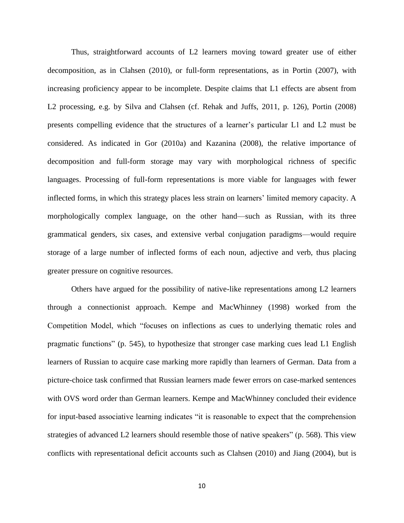Thus, straightforward accounts of L2 learners moving toward greater use of either decomposition, as in Clahsen (2010), or full-form representations, as in Portin (2007), with increasing proficiency appear to be incomplete. Despite claims that L1 effects are absent from L2 processing, e.g. by Silva and Clahsen (cf. Rehak and Juffs, 2011, p. 126), Portin (2008) presents compelling evidence that the structures of a learner's particular L1 and L2 must be considered. As indicated in Gor (2010a) and Kazanina (2008), the relative importance of decomposition and full-form storage may vary with morphological richness of specific languages. Processing of full-form representations is more viable for languages with fewer inflected forms, in which this strategy places less strain on learners' limited memory capacity. A morphologically complex language, on the other hand—such as Russian, with its three grammatical genders, six cases, and extensive verbal conjugation paradigms—would require storage of a large number of inflected forms of each noun, adjective and verb, thus placing greater pressure on cognitive resources.

Others have argued for the possibility of native-like representations among L2 learners through a connectionist approach. Kempe and MacWhinney (1998) worked from the Competition Model, which "focuses on inflections as cues to underlying thematic roles and pragmatic functions" (p. 545), to hypothesize that stronger case marking cues lead L1 English learners of Russian to acquire case marking more rapidly than learners of German. Data from a picture-choice task confirmed that Russian learners made fewer errors on case-marked sentences with OVS word order than German learners. Kempe and MacWhinney concluded their evidence for input-based associative learning indicates "it is reasonable to expect that the comprehension strategies of advanced L2 learners should resemble those of native speakers" (p. 568). This view conflicts with representational deficit accounts such as Clahsen (2010) and Jiang (2004), but is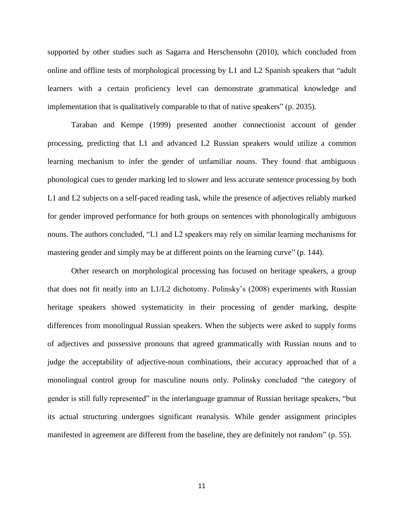supported by other studies such as Sagarra and Herschensohn (2010), which concluded from online and offline tests of morphological processing by L1 and L2 Spanish speakers that "adult learners with a certain proficiency level can demonstrate grammatical knowledge and implementation that is qualitatively comparable to that of native speakers" (p. 2035).

Taraban and Kempe (1999) presented another connectionist account of gender processing, predicting that L1 and advanced L2 Russian speakers would utilize a common learning mechanism to infer the gender of unfamiliar nouns. They found that ambiguous phonological cues to gender marking led to slower and less accurate sentence processing by both L1 and L2 subjects on a self-paced reading task, while the presence of adjectives reliably marked for gender improved performance for both groups on sentences with phonologically ambiguous nouns. The authors concluded, "L1 and L2 speakers may rely on similar learning mechanisms for mastering gender and simply may be at different points on the learning curve" (p. 144).

Other research on morphological processing has focused on heritage speakers, a group that does not fit neatly into an L1/L2 dichotomy. Polinsky's (2008) experiments with Russian heritage speakers showed systematicity in their processing of gender marking, despite differences from monolingual Russian speakers. When the subjects were asked to supply forms of adjectives and possessive pronouns that agreed grammatically with Russian nouns and to judge the acceptability of adjective-noun combinations, their accuracy approached that of a monolingual control group for masculine nouns only. Polinsky concluded "the category of gender is still fully represented" in the interlanguage grammar of Russian heritage speakers, "but its actual structuring undergoes significant reanalysis. While gender assignment principles manifested in agreement are different from the baseline, they are definitely not random" (p. 55).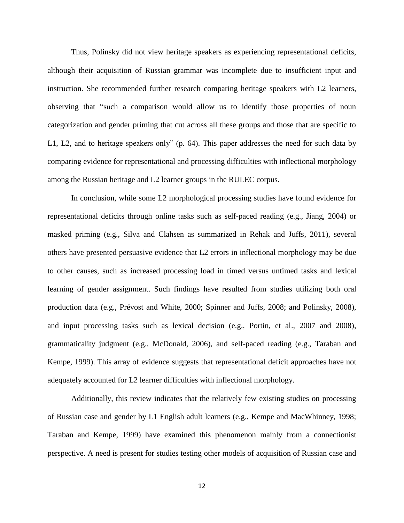Thus, Polinsky did not view heritage speakers as experiencing representational deficits, although their acquisition of Russian grammar was incomplete due to insufficient input and instruction. She recommended further research comparing heritage speakers with L2 learners, observing that "such a comparison would allow us to identify those properties of noun categorization and gender priming that cut across all these groups and those that are specific to L1, L2, and to heritage speakers only" (p. 64). This paper addresses the need for such data by comparing evidence for representational and processing difficulties with inflectional morphology among the Russian heritage and L2 learner groups in the RULEC corpus.

In conclusion, while some L2 morphological processing studies have found evidence for representational deficits through online tasks such as self-paced reading (e.g., Jiang, 2004) or masked priming (e.g., Silva and Clahsen as summarized in Rehak and Juffs, 2011), several others have presented persuasive evidence that L2 errors in inflectional morphology may be due to other causes, such as increased processing load in timed versus untimed tasks and lexical learning of gender assignment. Such findings have resulted from studies utilizing both oral production data (e.g., Prévost and White, 2000; Spinner and Juffs, 2008; and Polinsky, 2008), and input processing tasks such as lexical decision (e.g., Portin, et al., 2007 and 2008), grammaticality judgment (e.g., McDonald, 2006), and self-paced reading (e.g., Taraban and Kempe, 1999). This array of evidence suggests that representational deficit approaches have not adequately accounted for L2 learner difficulties with inflectional morphology.

Additionally, this review indicates that the relatively few existing studies on processing of Russian case and gender by L1 English adult learners (e.g., Kempe and MacWhinney, 1998; Taraban and Kempe, 1999) have examined this phenomenon mainly from a connectionist perspective. A need is present for studies testing other models of acquisition of Russian case and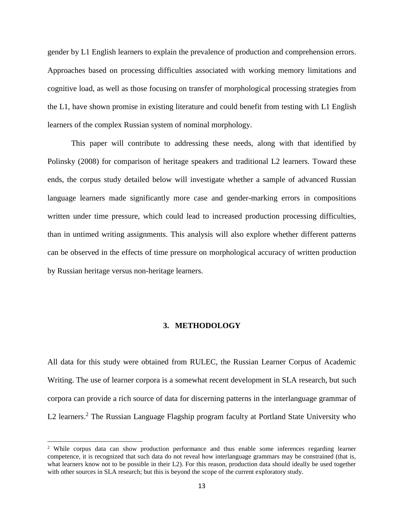gender by L1 English learners to explain the prevalence of production and comprehension errors. Approaches based on processing difficulties associated with working memory limitations and cognitive load, as well as those focusing on transfer of morphological processing strategies from the L1, have shown promise in existing literature and could benefit from testing with L1 English learners of the complex Russian system of nominal morphology.

This paper will contribute to addressing these needs, along with that identified by Polinsky (2008) for comparison of heritage speakers and traditional L2 learners. Toward these ends, the corpus study detailed below will investigate whether a sample of advanced Russian language learners made significantly more case and gender-marking errors in compositions written under time pressure, which could lead to increased production processing difficulties, than in untimed writing assignments. This analysis will also explore whether different patterns can be observed in the effects of time pressure on morphological accuracy of written production by Russian heritage versus non-heritage learners.

#### **3. METHODOLOGY**

All data for this study were obtained from RULEC, the Russian Learner Corpus of Academic Writing. The use of learner corpora is a somewhat recent development in SLA research, but such corpora can provide a rich source of data for discerning patterns in the interlanguage grammar of L2 learners.<sup>2</sup> The Russian Language Flagship program faculty at Portland State University who

 $\overline{\phantom{a}}$ 

<sup>&</sup>lt;sup>2</sup> While corpus data can show production performance and thus enable some inferences regarding learner competence, it is recognized that such data do not reveal how interlanguage grammars may be constrained (that is, what learners know not to be possible in their L2). For this reason, production data should ideally be used together with other sources in SLA research; but this is beyond the scope of the current exploratory study.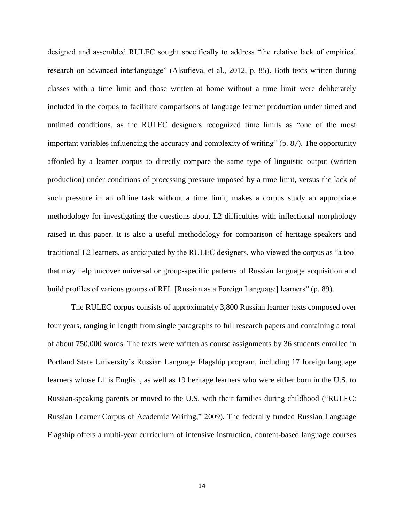designed and assembled RULEC sought specifically to address "the relative lack of empirical research on advanced interlanguage" (Alsufieva, et al., 2012, p. 85). Both texts written during classes with a time limit and those written at home without a time limit were deliberately included in the corpus to facilitate comparisons of language learner production under timed and untimed conditions, as the RULEC designers recognized time limits as "one of the most important variables influencing the accuracy and complexity of writing" (p. 87). The opportunity afforded by a learner corpus to directly compare the same type of linguistic output (written production) under conditions of processing pressure imposed by a time limit, versus the lack of such pressure in an offline task without a time limit, makes a corpus study an appropriate methodology for investigating the questions about L2 difficulties with inflectional morphology raised in this paper. It is also a useful methodology for comparison of heritage speakers and traditional L2 learners, as anticipated by the RULEC designers, who viewed the corpus as "a tool that may help uncover universal or group-specific patterns of Russian language acquisition and build profiles of various groups of RFL [Russian as a Foreign Language] learners" (p. 89).

The RULEC corpus consists of approximately 3,800 Russian learner texts composed over four years, ranging in length from single paragraphs to full research papers and containing a total of about 750,000 words. The texts were written as course assignments by 36 students enrolled in Portland State University's Russian Language Flagship program, including 17 foreign language learners whose L1 is English, as well as 19 heritage learners who were either born in the U.S. to Russian-speaking parents or moved to the U.S. with their families during childhood ("RULEC: Russian Learner Corpus of Academic Writing," 2009). The federally funded Russian Language Flagship offers a multi-year curriculum of intensive instruction, content-based language courses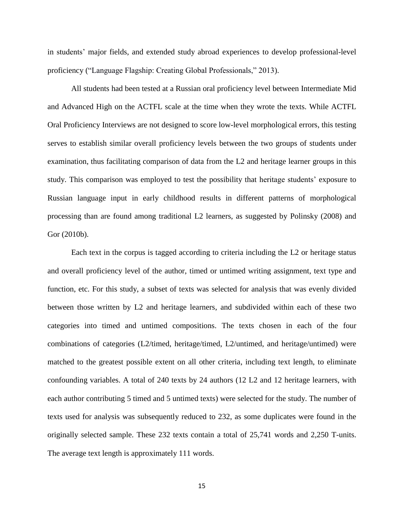in students' major fields, and extended study abroad experiences to develop professional-level proficiency ("Language Flagship: Creating Global Professionals," 2013).

All students had been tested at a Russian oral proficiency level between Intermediate Mid and Advanced High on the ACTFL scale at the time when they wrote the texts. While ACTFL Oral Proficiency Interviews are not designed to score low-level morphological errors, this testing serves to establish similar overall proficiency levels between the two groups of students under examination, thus facilitating comparison of data from the L2 and heritage learner groups in this study. This comparison was employed to test the possibility that heritage students' exposure to Russian language input in early childhood results in different patterns of morphological processing than are found among traditional L2 learners, as suggested by Polinsky (2008) and Gor (2010b).

Each text in the corpus is tagged according to criteria including the L2 or heritage status and overall proficiency level of the author, timed or untimed writing assignment, text type and function, etc. For this study, a subset of texts was selected for analysis that was evenly divided between those written by L2 and heritage learners, and subdivided within each of these two categories into timed and untimed compositions. The texts chosen in each of the four combinations of categories (L2/timed, heritage/timed, L2/untimed, and heritage/untimed) were matched to the greatest possible extent on all other criteria, including text length, to eliminate confounding variables. A total of 240 texts by 24 authors (12 L2 and 12 heritage learners, with each author contributing 5 timed and 5 untimed texts) were selected for the study. The number of texts used for analysis was subsequently reduced to 232, as some duplicates were found in the originally selected sample. These 232 texts contain a total of 25,741 words and 2,250 T-units. The average text length is approximately 111 words.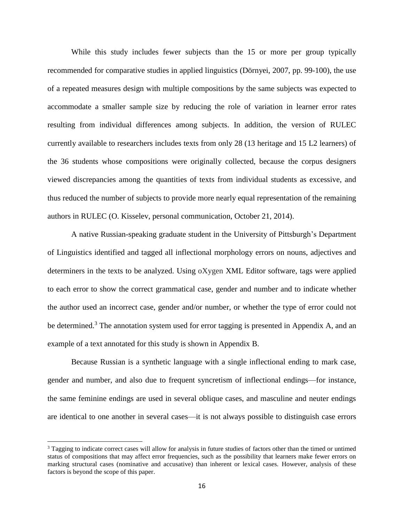While this study includes fewer subjects than the 15 or more per group typically recommended for comparative studies in applied linguistics (Dörnyei, 2007, pp. 99-100), the use of a repeated measures design with multiple compositions by the same subjects was expected to accommodate a smaller sample size by reducing the role of variation in learner error rates resulting from individual differences among subjects. In addition, the version of RULEC currently available to researchers includes texts from only 28 (13 heritage and 15 L2 learners) of the 36 students whose compositions were originally collected, because the corpus designers viewed discrepancies among the quantities of texts from individual students as excessive, and thus reduced the number of subjects to provide more nearly equal representation of the remaining authors in RULEC (O. Kisselev, personal communication, October 21, 2014).

A native Russian-speaking graduate student in the University of Pittsburgh's Department of Linguistics identified and tagged all inflectional morphology errors on nouns, adjectives and determiners in the texts to be analyzed. Using oXygen XML Editor software, tags were applied to each error to show the correct grammatical case, gender and number and to indicate whether the author used an incorrect case, gender and/or number, or whether the type of error could not be determined.<sup>3</sup> The annotation system used for error tagging is presented in Appendix A, and an example of a text annotated for this study is shown in Appendix B.

Because Russian is a synthetic language with a single inflectional ending to mark case, gender and number, and also due to frequent syncretism of inflectional endings—for instance, the same feminine endings are used in several oblique cases, and masculine and neuter endings are identical to one another in several cases—it is not always possible to distinguish case errors

 $\overline{\phantom{a}}$ 

<sup>&</sup>lt;sup>3</sup> Tagging to indicate correct cases will allow for analysis in future studies of factors other than the timed or untimed status of compositions that may affect error frequencies, such as the possibility that learners make fewer errors on marking structural cases (nominative and accusative) than inherent or lexical cases. However, analysis of these factors is beyond the scope of this paper.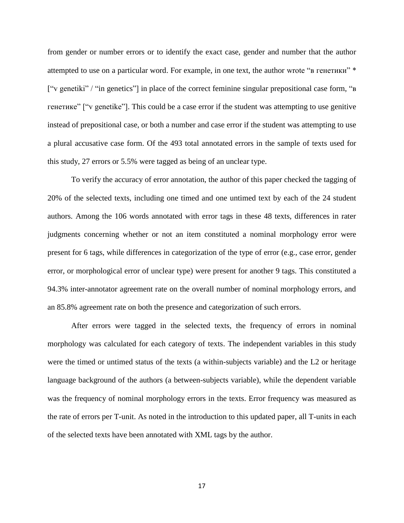from gender or number errors or to identify the exact case, gender and number that the author attempted to use on a particular word. For example, in one text, the author wrote "в генетики" \* ["v genetiki" / "in genetics"] in place of the correct feminine singular prepositional case form, "в генетике" ["v genetike"]. This could be a case error if the student was attempting to use genitive instead of prepositional case, or both a number and case error if the student was attempting to use a plural accusative case form. Of the 493 total annotated errors in the sample of texts used for this study, 27 errors or 5.5% were tagged as being of an unclear type.

To verify the accuracy of error annotation, the author of this paper checked the tagging of 20% of the selected texts, including one timed and one untimed text by each of the 24 student authors. Among the 106 words annotated with error tags in these 48 texts, differences in rater judgments concerning whether or not an item constituted a nominal morphology error were present for 6 tags, while differences in categorization of the type of error (e.g., case error, gender error, or morphological error of unclear type) were present for another 9 tags. This constituted a 94.3% inter-annotator agreement rate on the overall number of nominal morphology errors, and an 85.8% agreement rate on both the presence and categorization of such errors.

After errors were tagged in the selected texts, the frequency of errors in nominal morphology was calculated for each category of texts. The independent variables in this study were the timed or untimed status of the texts (a within-subjects variable) and the L2 or heritage language background of the authors (a between-subjects variable), while the dependent variable was the frequency of nominal morphology errors in the texts. Error frequency was measured as the rate of errors per T-unit. As noted in the introduction to this updated paper, all T-units in each of the selected texts have been annotated with XML tags by the author.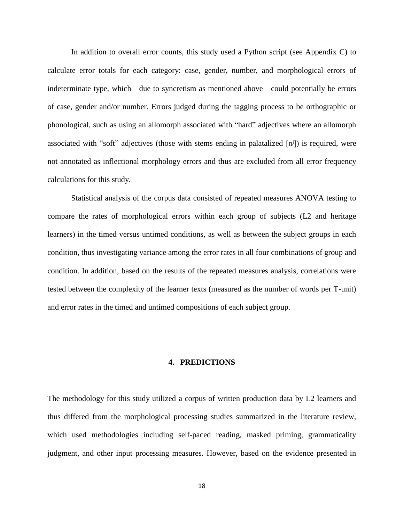In addition to overall error counts, this study used a Python script (see Appendix C) to calculate error totals for each category: case, gender, number, and morphological errors of indeterminate type, which—due to syncretism as mentioned above—could potentially be errors of case, gender and/or number. Errors judged during the tagging process to be orthographic or phonological, such as using an allomorph associated with "hard" adjectives where an allomorph associated with "soft" adjectives (those with stems ending in palatalized [nʲ]) is required, were not annotated as inflectional morphology errors and thus are excluded from all error frequency calculations for this study.

Statistical analysis of the corpus data consisted of repeated measures ANOVA testing to compare the rates of morphological errors within each group of subjects (L2 and heritage learners) in the timed versus untimed conditions, as well as between the subject groups in each condition, thus investigating variance among the error rates in all four combinations of group and condition. In addition, based on the results of the repeated measures analysis, correlations were tested between the complexity of the learner texts (measured as the number of words per T-unit) and error rates in the timed and untimed compositions of each subject group.

## **4. PREDICTIONS**

The methodology for this study utilized a corpus of written production data by L2 learners and thus differed from the morphological processing studies summarized in the literature review, which used methodologies including self-paced reading, masked priming, grammaticality judgment, and other input processing measures. However, based on the evidence presented in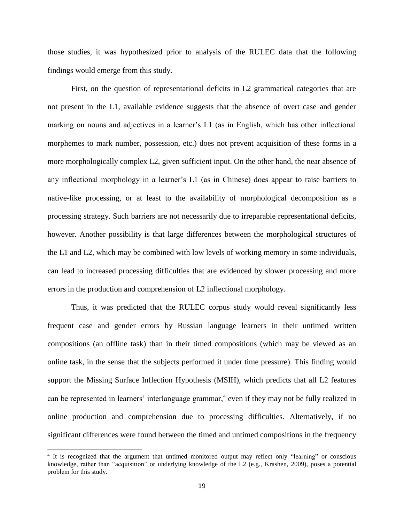those studies, it was hypothesized prior to analysis of the RULEC data that the following findings would emerge from this study.

First, on the question of representational deficits in L2 grammatical categories that are not present in the L1, available evidence suggests that the absence of overt case and gender marking on nouns and adjectives in a learner's L1 (as in English, which has other inflectional morphemes to mark number, possession, etc.) does not prevent acquisition of these forms in a more morphologically complex L2, given sufficient input. On the other hand, the near absence of any inflectional morphology in a learner's L1 (as in Chinese) does appear to raise barriers to native-like processing, or at least to the availability of morphological decomposition as a processing strategy. Such barriers are not necessarily due to irreparable representational deficits, however. Another possibility is that large differences between the morphological structures of the L1 and L2, which may be combined with low levels of working memory in some individuals, can lead to increased processing difficulties that are evidenced by slower processing and more errors in the production and comprehension of L2 inflectional morphology.

Thus, it was predicted that the RULEC corpus study would reveal significantly less frequent case and gender errors by Russian language learners in their untimed written compositions (an offline task) than in their timed compositions (which may be viewed as an online task, in the sense that the subjects performed it under time pressure). This finding would support the Missing Surface Inflection Hypothesis (MSIH), which predicts that all L2 features can be represented in learners' interlanguage grammar,<sup>4</sup> even if they may not be fully realized in online production and comprehension due to processing difficulties. Alternatively, if no significant differences were found between the timed and untimed compositions in the frequency

 $\overline{\phantom{a}}$ 

<sup>4</sup> It is recognized that the argument that untimed monitored output may reflect only "learning" or conscious knowledge, rather than "acquisition" or underlying knowledge of the L2 (e.g., Krashen, 2009), poses a potential problem for this study.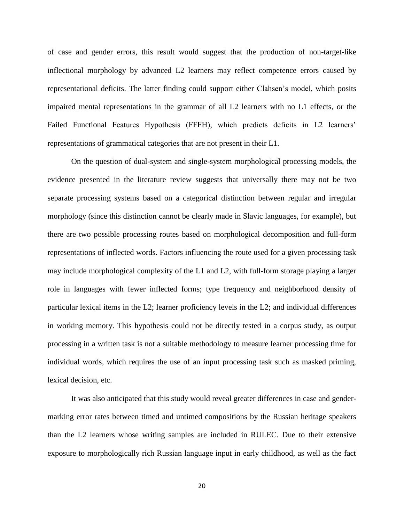of case and gender errors, this result would suggest that the production of non-target-like inflectional morphology by advanced L2 learners may reflect competence errors caused by representational deficits. The latter finding could support either Clahsen's model, which posits impaired mental representations in the grammar of all L2 learners with no L1 effects, or the Failed Functional Features Hypothesis (FFFH), which predicts deficits in L2 learners' representations of grammatical categories that are not present in their L1.

On the question of dual-system and single-system morphological processing models, the evidence presented in the literature review suggests that universally there may not be two separate processing systems based on a categorical distinction between regular and irregular morphology (since this distinction cannot be clearly made in Slavic languages, for example), but there are two possible processing routes based on morphological decomposition and full-form representations of inflected words. Factors influencing the route used for a given processing task may include morphological complexity of the L1 and L2, with full-form storage playing a larger role in languages with fewer inflected forms; type frequency and neighborhood density of particular lexical items in the L2; learner proficiency levels in the L2; and individual differences in working memory. This hypothesis could not be directly tested in a corpus study, as output processing in a written task is not a suitable methodology to measure learner processing time for individual words, which requires the use of an input processing task such as masked priming, lexical decision, etc.

It was also anticipated that this study would reveal greater differences in case and gendermarking error rates between timed and untimed compositions by the Russian heritage speakers than the L2 learners whose writing samples are included in RULEC. Due to their extensive exposure to morphologically rich Russian language input in early childhood, as well as the fact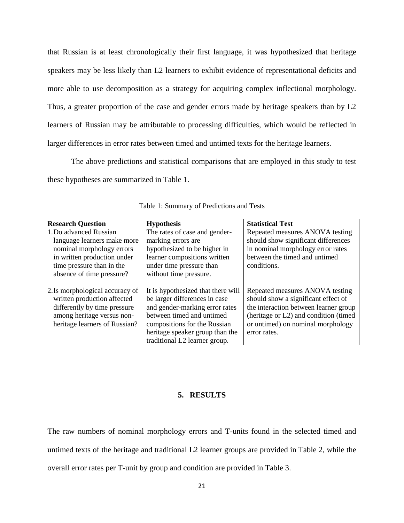that Russian is at least chronologically their first language, it was hypothesized that heritage speakers may be less likely than L2 learners to exhibit evidence of representational deficits and more able to use decomposition as a strategy for acquiring complex inflectional morphology. Thus, a greater proportion of the case and gender errors made by heritage speakers than by L2 learners of Russian may be attributable to processing difficulties, which would be reflected in larger differences in error rates between timed and untimed texts for the heritage learners.

The above predictions and statistical comparisons that are employed in this study to test these hypotheses are summarized in Table 1.

| <b>Research Question</b>        | <b>Hypothesis</b>                  | <b>Statistical Test</b>                |
|---------------------------------|------------------------------------|----------------------------------------|
| 1. Do advanced Russian          | The rates of case and gender-      | Repeated measures ANOVA testing        |
| language learners make more     | marking errors are                 | should show significant differences    |
| nominal morphology errors       | hypothesized to be higher in       | in nominal morphology error rates      |
| in written production under     | learner compositions written       | between the timed and untimed          |
| time pressure than in the       | under time pressure than           | conditions.                            |
| absence of time pressure?       | without time pressure.             |                                        |
|                                 |                                    |                                        |
| 2. Is morphological accuracy of | It is hypothesized that there will | Repeated measures ANOVA testing        |
| written production affected     | be larger differences in case      | should show a significant effect of    |
| differently by time pressure    | and gender-marking error rates     | the interaction between learner group  |
| among heritage versus non-      | between timed and untimed          | (heritage or L2) and condition (timed) |
| heritage learners of Russian?   | compositions for the Russian       | or untimed) on nominal morphology      |
|                                 | heritage speaker group than the    | error rates.                           |
|                                 | traditional L2 learner group.      |                                        |

Table 1: Summary of Predictions and Tests

#### **5. RESULTS**

The raw numbers of nominal morphology errors and T-units found in the selected timed and untimed texts of the heritage and traditional L2 learner groups are provided in Table 2, while the overall error rates per T-unit by group and condition are provided in Table 3.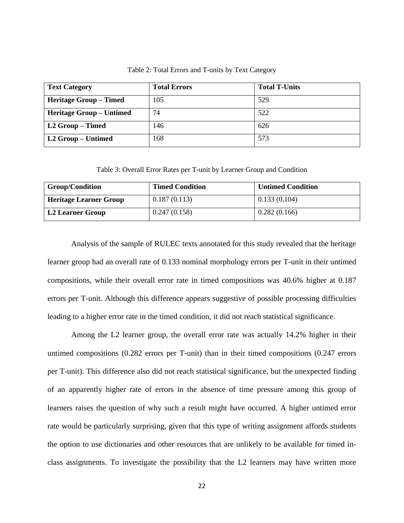| <b>Text Category</b>            | <b>Total Errors</b> | <b>Total T-Units</b> |
|---------------------------------|---------------------|----------------------|
| <b>Heritage Group – Timed</b>   | 105                 | 529                  |
| <b>Heritage Group – Untimed</b> | 74                  | 522                  |
| L2 Group – Timed                | 146                 | 626                  |
| L2 Group – Untimed              | 168                 | 573                  |

Table 2: Total Errors and T-units by Text Category

Table 3: Overall Error Rates per T-unit by Learner Group and Condition

| <b>Group/Condition</b>        | <b>Timed Condition</b> | <b>Untimed Condition</b> |
|-------------------------------|------------------------|--------------------------|
| <b>Heritage Learner Group</b> | 0.187(0.113)           | 0.133(0.104)             |
| L2 Learner Group              | 0.247(0.158)           | 0.282(0.166)             |

Analysis of the sample of RULEC texts annotated for this study revealed that the heritage learner group had an overall rate of 0.133 nominal morphology errors per T-unit in their untimed compositions, while their overall error rate in timed compositions was 40.6% higher at 0.187 errors per T-unit. Although this difference appears suggestive of possible processing difficulties leading to a higher error rate in the timed condition, it did not reach statistical significance.

Among the L2 learner group, the overall error rate was actually 14.2% higher in their untimed compositions (0.282 errors per T-unit) than in their timed compositions (0.247 errors per T-unit). This difference also did not reach statistical significance, but the unexpected finding of an apparently higher rate of errors in the absence of time pressure among this group of learners raises the question of why such a result might have occurred. A higher untimed error rate would be particularly surprising, given that this type of writing assignment affords students the option to use dictionaries and other resources that are unlikely to be available for timed inclass assignments. To investigate the possibility that the L2 learners may have written more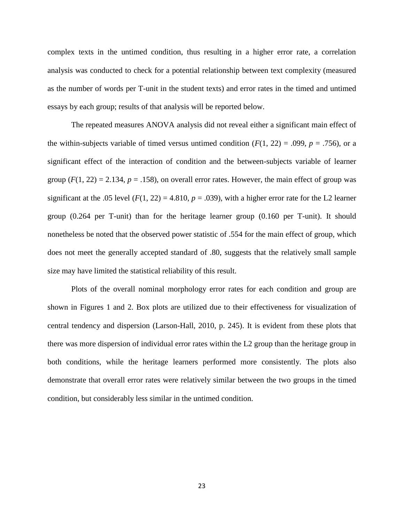complex texts in the untimed condition, thus resulting in a higher error rate, a correlation analysis was conducted to check for a potential relationship between text complexity (measured as the number of words per T-unit in the student texts) and error rates in the timed and untimed essays by each group; results of that analysis will be reported below.

The repeated measures ANOVA analysis did not reveal either a significant main effect of the within-subjects variable of timed versus untimed condition  $(F(1, 22) = .099, p = .756)$ , or a significant effect of the interaction of condition and the between-subjects variable of learner group  $(F(1, 22) = 2.134, p = .158)$ , on overall error rates. However, the main effect of group was significant at the .05 level  $(F(1, 22) = 4.810, p = .039)$ , with a higher error rate for the L2 learner group (0.264 per T-unit) than for the heritage learner group (0.160 per T-unit). It should nonetheless be noted that the observed power statistic of .554 for the main effect of group, which does not meet the generally accepted standard of .80, suggests that the relatively small sample size may have limited the statistical reliability of this result.

Plots of the overall nominal morphology error rates for each condition and group are shown in Figures 1 and 2. Box plots are utilized due to their effectiveness for visualization of central tendency and dispersion (Larson-Hall, 2010, p. 245). It is evident from these plots that there was more dispersion of individual error rates within the L2 group than the heritage group in both conditions, while the heritage learners performed more consistently. The plots also demonstrate that overall error rates were relatively similar between the two groups in the timed condition, but considerably less similar in the untimed condition.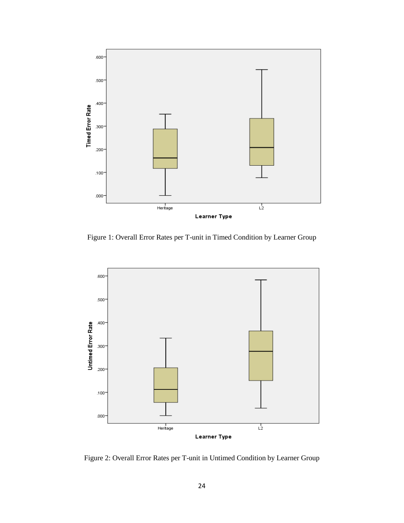

Figure 1: Overall Error Rates per T-unit in Timed Condition by Learner Group



Figure 2: Overall Error Rates per T-unit in Untimed Condition by Learner Group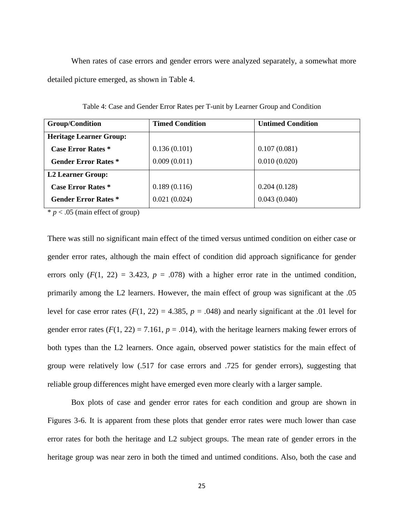When rates of case errors and gender errors were analyzed separately, a somewhat more detailed picture emerged, as shown in Table 4.

| <b>Group/Condition</b>         | <b>Timed Condition</b> | <b>Untimed Condition</b> |
|--------------------------------|------------------------|--------------------------|
| <b>Heritage Learner Group:</b> |                        |                          |
| <b>Case Error Rates</b> *      | 0.136(0.101)           | 0.107(0.081)             |
| <b>Gender Error Rates</b> *    | 0.009(0.011)           | 0.010(0.020)             |
| <b>L2 Learner Group:</b>       |                        |                          |
| <b>Case Error Rates</b> *      | 0.189(0.116)           | 0.204(0.128)             |
| <b>Gender Error Rates *</b>    | 0.021(0.024)           | 0.043(0.040)             |

Table 4: Case and Gender Error Rates per T-unit by Learner Group and Condition

 $* p < .05$  (main effect of group)

There was still no significant main effect of the timed versus untimed condition on either case or gender error rates, although the main effect of condition did approach significance for gender errors only  $(F(1, 22) = 3.423, p = .078)$  with a higher error rate in the untimed condition, primarily among the L2 learners. However, the main effect of group was significant at the .05 level for case error rates  $(F(1, 22) = 4.385, p = .048)$  and nearly significant at the .01 level for gender error rates  $(F(1, 22) = 7.161, p = .014)$ , with the heritage learners making fewer errors of both types than the L2 learners. Once again, observed power statistics for the main effect of group were relatively low (.517 for case errors and .725 for gender errors), suggesting that reliable group differences might have emerged even more clearly with a larger sample.

Box plots of case and gender error rates for each condition and group are shown in Figures 3-6. It is apparent from these plots that gender error rates were much lower than case error rates for both the heritage and L2 subject groups. The mean rate of gender errors in the heritage group was near zero in both the timed and untimed conditions. Also, both the case and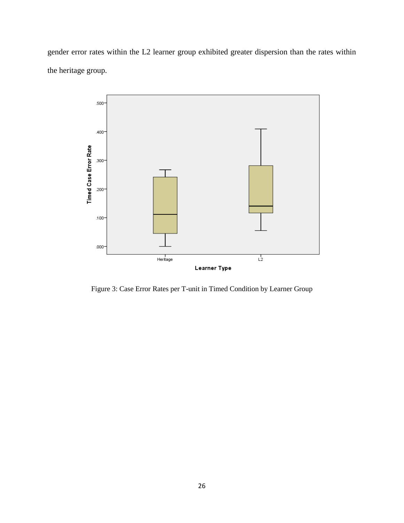gender error rates within the L2 learner group exhibited greater dispersion than the rates within the heritage group.



Figure 3: Case Error Rates per T-unit in Timed Condition by Learner Group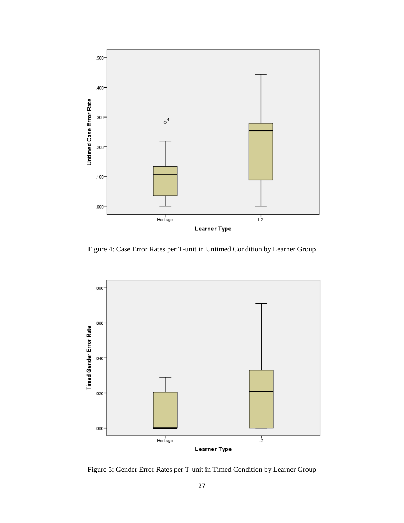

Figure 4: Case Error Rates per T-unit in Untimed Condition by Learner Group



Figure 5: Gender Error Rates per T-unit in Timed Condition by Learner Group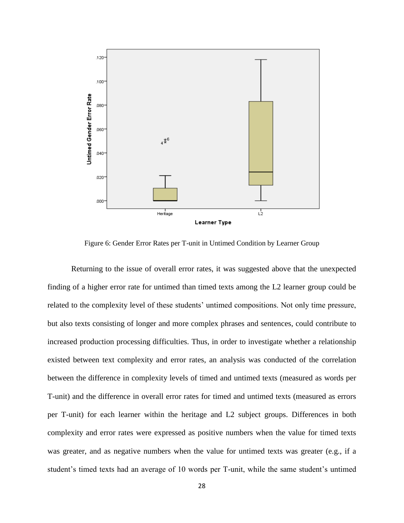

Figure 6: Gender Error Rates per T-unit in Untimed Condition by Learner Group

Returning to the issue of overall error rates, it was suggested above that the unexpected finding of a higher error rate for untimed than timed texts among the L2 learner group could be related to the complexity level of these students' untimed compositions. Not only time pressure, but also texts consisting of longer and more complex phrases and sentences, could contribute to increased production processing difficulties. Thus, in order to investigate whether a relationship existed between text complexity and error rates, an analysis was conducted of the correlation between the difference in complexity levels of timed and untimed texts (measured as words per T-unit) and the difference in overall error rates for timed and untimed texts (measured as errors per T-unit) for each learner within the heritage and L2 subject groups. Differences in both complexity and error rates were expressed as positive numbers when the value for timed texts was greater, and as negative numbers when the value for untimed texts was greater (e.g., if a student's timed texts had an average of 10 words per T-unit, while the same student's untimed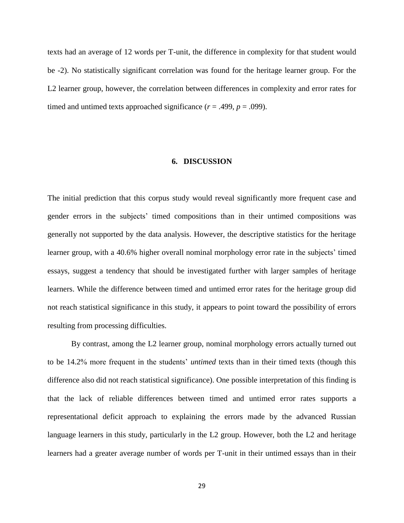texts had an average of 12 words per T-unit, the difference in complexity for that student would be -2). No statistically significant correlation was found for the heritage learner group. For the L2 learner group, however, the correlation between differences in complexity and error rates for timed and untimed texts approached significance  $(r = .499, p = .099)$ .

#### **6. DISCUSSION**

The initial prediction that this corpus study would reveal significantly more frequent case and gender errors in the subjects' timed compositions than in their untimed compositions was generally not supported by the data analysis. However, the descriptive statistics for the heritage learner group, with a 40.6% higher overall nominal morphology error rate in the subjects' timed essays, suggest a tendency that should be investigated further with larger samples of heritage learners. While the difference between timed and untimed error rates for the heritage group did not reach statistical significance in this study, it appears to point toward the possibility of errors resulting from processing difficulties.

By contrast, among the L2 learner group, nominal morphology errors actually turned out to be 14.2% more frequent in the students' *untimed* texts than in their timed texts (though this difference also did not reach statistical significance). One possible interpretation of this finding is that the lack of reliable differences between timed and untimed error rates supports a representational deficit approach to explaining the errors made by the advanced Russian language learners in this study, particularly in the L2 group. However, both the L2 and heritage learners had a greater average number of words per T-unit in their untimed essays than in their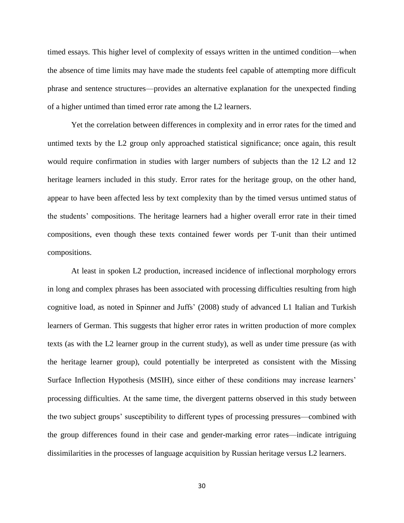timed essays. This higher level of complexity of essays written in the untimed condition—when the absence of time limits may have made the students feel capable of attempting more difficult phrase and sentence structures—provides an alternative explanation for the unexpected finding of a higher untimed than timed error rate among the L2 learners.

Yet the correlation between differences in complexity and in error rates for the timed and untimed texts by the L2 group only approached statistical significance; once again, this result would require confirmation in studies with larger numbers of subjects than the 12 L2 and 12 heritage learners included in this study. Error rates for the heritage group, on the other hand, appear to have been affected less by text complexity than by the timed versus untimed status of the students' compositions. The heritage learners had a higher overall error rate in their timed compositions, even though these texts contained fewer words per T-unit than their untimed compositions.

At least in spoken L2 production, increased incidence of inflectional morphology errors in long and complex phrases has been associated with processing difficulties resulting from high cognitive load, as noted in Spinner and Juffs' (2008) study of advanced L1 Italian and Turkish learners of German. This suggests that higher error rates in written production of more complex texts (as with the L2 learner group in the current study), as well as under time pressure (as with the heritage learner group), could potentially be interpreted as consistent with the Missing Surface Inflection Hypothesis (MSIH), since either of these conditions may increase learners' processing difficulties. At the same time, the divergent patterns observed in this study between the two subject groups' susceptibility to different types of processing pressures—combined with the group differences found in their case and gender-marking error rates—indicate intriguing dissimilarities in the processes of language acquisition by Russian heritage versus L2 learners.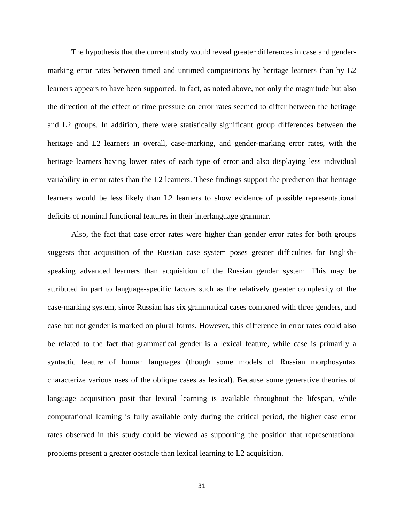The hypothesis that the current study would reveal greater differences in case and gendermarking error rates between timed and untimed compositions by heritage learners than by L2 learners appears to have been supported. In fact, as noted above, not only the magnitude but also the direction of the effect of time pressure on error rates seemed to differ between the heritage and L2 groups. In addition, there were statistically significant group differences between the heritage and L2 learners in overall, case-marking, and gender-marking error rates, with the heritage learners having lower rates of each type of error and also displaying less individual variability in error rates than the L2 learners. These findings support the prediction that heritage learners would be less likely than L2 learners to show evidence of possible representational deficits of nominal functional features in their interlanguage grammar.

Also, the fact that case error rates were higher than gender error rates for both groups suggests that acquisition of the Russian case system poses greater difficulties for Englishspeaking advanced learners than acquisition of the Russian gender system. This may be attributed in part to language-specific factors such as the relatively greater complexity of the case-marking system, since Russian has six grammatical cases compared with three genders, and case but not gender is marked on plural forms. However, this difference in error rates could also be related to the fact that grammatical gender is a lexical feature, while case is primarily a syntactic feature of human languages (though some models of Russian morphosyntax characterize various uses of the oblique cases as lexical). Because some generative theories of language acquisition posit that lexical learning is available throughout the lifespan, while computational learning is fully available only during the critical period, the higher case error rates observed in this study could be viewed as supporting the position that representational problems present a greater obstacle than lexical learning to L2 acquisition.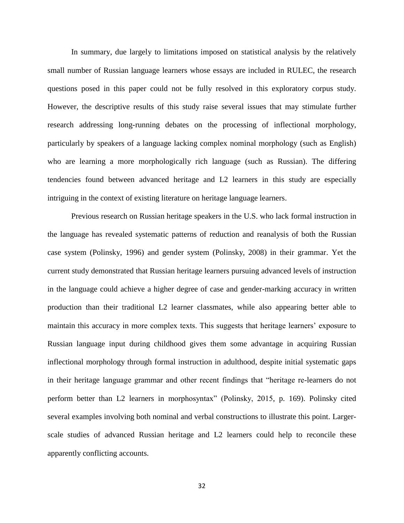In summary, due largely to limitations imposed on statistical analysis by the relatively small number of Russian language learners whose essays are included in RULEC, the research questions posed in this paper could not be fully resolved in this exploratory corpus study. However, the descriptive results of this study raise several issues that may stimulate further research addressing long-running debates on the processing of inflectional morphology, particularly by speakers of a language lacking complex nominal morphology (such as English) who are learning a more morphologically rich language (such as Russian). The differing tendencies found between advanced heritage and L2 learners in this study are especially intriguing in the context of existing literature on heritage language learners.

Previous research on Russian heritage speakers in the U.S. who lack formal instruction in the language has revealed systematic patterns of reduction and reanalysis of both the Russian case system (Polinsky, 1996) and gender system (Polinsky, 2008) in their grammar. Yet the current study demonstrated that Russian heritage learners pursuing advanced levels of instruction in the language could achieve a higher degree of case and gender-marking accuracy in written production than their traditional L2 learner classmates, while also appearing better able to maintain this accuracy in more complex texts. This suggests that heritage learners' exposure to Russian language input during childhood gives them some advantage in acquiring Russian inflectional morphology through formal instruction in adulthood, despite initial systematic gaps in their heritage language grammar and other recent findings that "heritage re-learners do not perform better than L2 learners in morphosyntax" (Polinsky, 2015, p. 169). Polinsky cited several examples involving both nominal and verbal constructions to illustrate this point. Largerscale studies of advanced Russian heritage and L2 learners could help to reconcile these apparently conflicting accounts.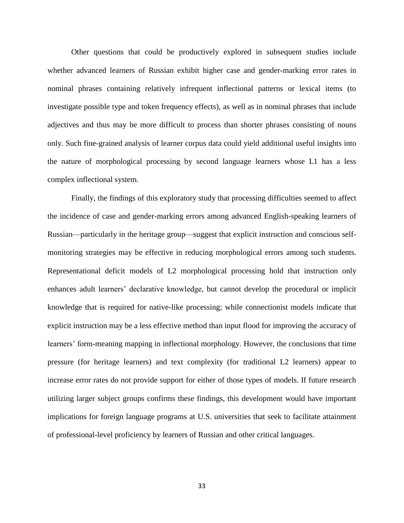Other questions that could be productively explored in subsequent studies include whether advanced learners of Russian exhibit higher case and gender-marking error rates in nominal phrases containing relatively infrequent inflectional patterns or lexical items (to investigate possible type and token frequency effects), as well as in nominal phrases that include adjectives and thus may be more difficult to process than shorter phrases consisting of nouns only. Such fine-grained analysis of learner corpus data could yield additional useful insights into the nature of morphological processing by second language learners whose L1 has a less complex inflectional system.

Finally, the findings of this exploratory study that processing difficulties seemed to affect the incidence of case and gender-marking errors among advanced English-speaking learners of Russian—particularly in the heritage group—suggest that explicit instruction and conscious selfmonitoring strategies may be effective in reducing morphological errors among such students. Representational deficit models of L2 morphological processing hold that instruction only enhances adult learners' declarative knowledge, but cannot develop the procedural or implicit knowledge that is required for native-like processing; while connectionist models indicate that explicit instruction may be a less effective method than input flood for improving the accuracy of learners' form-meaning mapping in inflectional morphology. However, the conclusions that time pressure (for heritage learners) and text complexity (for traditional L2 learners) appear to increase error rates do not provide support for either of those types of models. If future research utilizing larger subject groups confirms these findings, this development would have important implications for foreign language programs at U.S. universities that seek to facilitate attainment of professional-level proficiency by learners of Russian and other critical languages.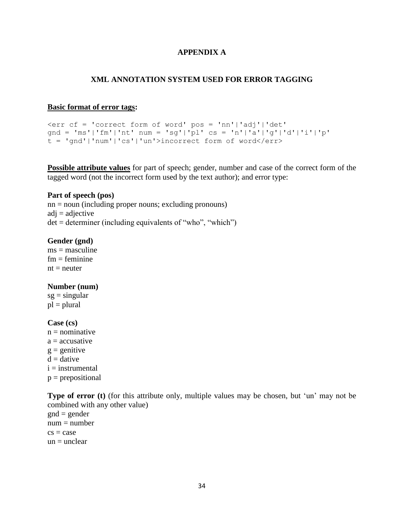# **APPENDIX A**

## **XML ANNOTATION SYSTEM USED FOR ERROR TAGGING**

#### **Basic format of error tags:**

```
<err cf = 'correct form of word' pos = 'nn'|'adj'|'det' 
gnd = 'ms'|'fm'|'nt' num = 'sg'|'pl' cs = 'n'|'a'|'g'|'d'|'i'|'p'
t = 'gnd'|'num'|'cs'|'un'>incorrect form of word</err>
```
**Possible attribute values** for part of speech; gender, number and case of the correct form of the tagged word (not the incorrect form used by the text author); and error type:

#### **Part of speech (pos)**

nn = noun (including proper nouns; excluding pronouns)  $adj = adjective$  $det = det$  determiner (including equivalents of "who", "which")

#### **Gender (gnd)**

 $ms = masculine$  $fm =$  feminine  $nt = neutron$ 

## **Number (num)**

 $sg = singular$  $pl = plural$ 

## **Case (cs)**

 $n =$  nominative  $a =$  accusative  $g =$  genitive  $d = d$ ative  $i =$  instrumental  $p = prepositional$ 

**Type of error** (t) (for this attribute only, multiple values may be chosen, but 'un' may not be combined with any other value)  $gnd = gender$  $num = number$  $cs = case$  $un = *unclear*$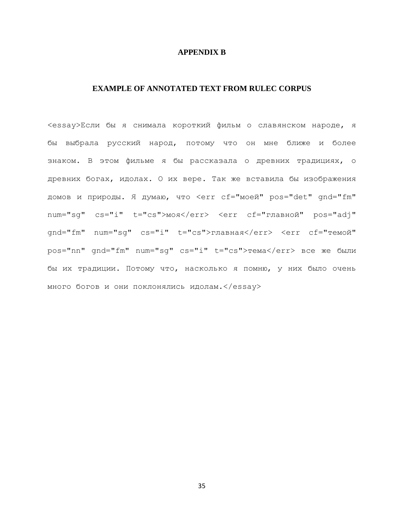## **APPENDIX B**

# **EXAMPLE OF ANNOTATED TEXT FROM RULEC CORPUS**

<essay>Если бы я снимала короткий фильм о славянском народе, я бы выбрала русский народ, потому что он мне ближе и более знаком. В этом фильме я бы рассказала о древних традициях, о древних богах, идолах. О их вере. Так же вставила бы изображения домов и природы. Я думаю, что <err cf="моей" pos="det" gnd="fm" num="sq" cs="i" t="cs">моя</err> <err cf="главной" pos="adj" qnd="fm" num="sq" cs="i" t="cs">главная</err> <err cf="темой" pos="nn" gnd="fm" num="sg" cs="i" t="cs">тема</err> все же были бы их традиции. Потому что, насколько я помню, у них было очень много богов и они поклонялись идолам.</essay>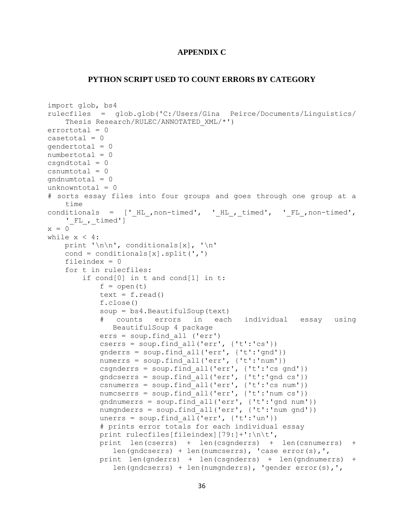# **APPENDIX C**

#### **PYTHON SCRIPT USED TO COUNT ERRORS BY CATEGORY**

```
import glob, bs4
rulecfiles = glob.glob('C:/Users/Gina Peirce/Documents/Linguistics/
    Thesis Research/RULEC/ANNOTATED_XML/*')
errortotal = 0
\text{casetotal} = 0qendertotal = 0numbertotal = 0
csandtotal = 0csnumtotal = 0qndnumtotal = 0unknowntotal = 0# sorts essay files into four groups and goes through one group at a 
    time
conditionals = ['HL , non-timed', 'HL , timed', 'FL , non-timed',
    '_FL_,_timed']
x = 0while x < 4:
    print '\n\n', conditionals[x], '\n'
    cond = conditionals[x].split(',') fileindex = 0
     for t in rulecfiles:
         if cond[0] in t and cond[1] in t:
            f = open(t)text = f.read() f.close()
             soup = bs4.BeautifulSoup(text)
             # counts errors in each individual essay using 
               BeautifulSoup 4 package
             errs = soup.find_all ('err')
            cserrs = soup.find all('err', \{ 't': 'cs' \})
             gnderrs = soup.find_all('err', {'t':'gnd'})
            numerrs = soup.find all('err', \{ 't': 'num' \})
            csgnderrs = soup.find all('err', \{ 't': 'cs \text{ and } '\})
             gndcserrs = soup.find_all('err', {'t':'gnd cs'})
            csnumerrs = soup.find all('err', \{ 't': 'cs \text{ num'} \})
             numcserrs = soup.find_all('err', {'t':'num cs'})
            gndnumerrs = soup.find all('err', {'t':'gnd num'})
            numgnderrs = soup.find all('err', {'t':'num gnd'})
            unerrs = soup.find all('err', \{ 't': 'un' \})
             # prints error totals for each individual essay
             print rulecfiles[fileindex][79:]+':\n\t',
             print len(cserrs) + len(csgnderrs) + len(csnumerrs) + 
               len(gndcserrs) + len(numcserrs), 'case error(s),', 
             print len(gnderrs) + len(csgnderrs) + len(gndnumerrs) + 
               len(gndcserrs) + len(numgnderrs), 'gender error(s),',
```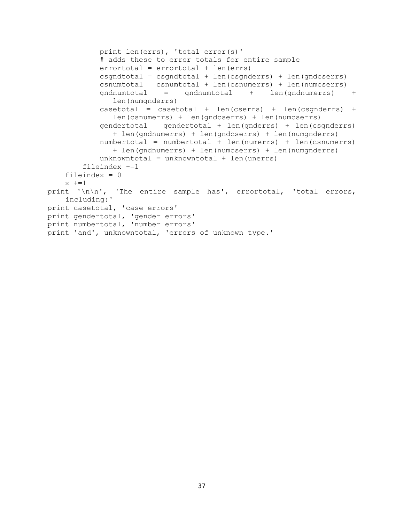```
 print len(errs), 'total error(s)'
             # adds these to error totals for entire sample
             errortotal = errortotal + len(errs)
             csgndtotal = csgndtotal + len(csgnderrs) + len(gndcserrs)
             csnumtotal = csnumtotal + len(csnumerrs) + len(numcserrs)
             gndnumtotal = gndnumtotal + len(gndnumerrs) + 
               len(numgnderrs)
             casetotal = casetotal + len(cserrs) + len(csgnderrs) + 
               len(csnumerrs) + len(gndcserrs) + len(numcserrs)
             gendertotal = gendertotal + len(gnderrs) + len(csgnderrs) 
               + len(gndnumerrs) + len(gndcserrs) + len(numgnderrs)
             numbertotal = numbertotal + len(numerrs) + len(csnumerrs) 
               + len(gndnumerrs) + len(numcserrs) + len(numgnderrs)
            unknowntotal = unknowntotal + len(unerrs)
         fileindex +=1
     fileindex = 0
    x + = 1print '\n\n', 'The entire sample has', errortotal, 'total errors,
    including:'
print casetotal, 'case errors'
print gendertotal, 'gender errors'
print numbertotal, 'number errors'
print 'and', unknowntotal, 'errors of unknown type.'
```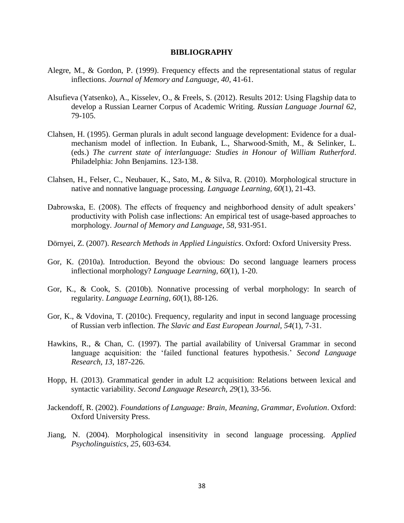#### **BIBLIOGRAPHY**

- Alegre, M., & Gordon, P. (1999). Frequency effects and the representational status of regular inflections. *Journal of Memory and Language, 40*, 41-61.
- Alsufieva (Yatsenko), A., Kisselev, O., & Freels, S. (2012). Results 2012: Using Flagship data to develop a Russian Learner Corpus of Academic Writing. *Russian Language Journal 62*, 79-105.
- Clahsen, H. (1995). German plurals in adult second language development: Evidence for a dualmechanism model of inflection. In Eubank, L., Sharwood-Smith, M., & Selinker, L. (eds.) *The current state of interlanguage: Studies in Honour of William Rutherford*. Philadelphia: John Benjamins. 123-138.
- Clahsen, H., Felser, C., Neubauer, K., Sato, M., & Silva, R. (2010). Morphological structure in native and nonnative language processing. *Language Learning, 60*(1), 21-43.
- Dabrowska, E. (2008). The effects of frequency and neighborhood density of adult speakers' productivity with Polish case inflections: An empirical test of usage-based approaches to morphology. *Journal of Memory and Language, 58*, 931-951.
- Dörnyei, Z. (2007). *Research Methods in Applied Linguistics*. Oxford: Oxford University Press.
- Gor, K. (2010a). Introduction. Beyond the obvious: Do second language learners process inflectional morphology? *Language Learning, 60*(1), 1-20.
- Gor, K., & Cook, S. (2010b). Nonnative processing of verbal morphology: In search of regularity. *Language Learning, 60*(1), 88-126.
- Gor, K., & Vdovina, T. (2010c). Frequency, regularity and input in second language processing of Russian verb inflection. *The Slavic and East European Journal, 54*(1), 7-31.
- Hawkins, R., & Chan, C. (1997). The partial availability of Universal Grammar in second language acquisition: the 'failed functional features hypothesis.' *Second Language Research, 13*, 187-226.
- Hopp, H. (2013). Grammatical gender in adult L2 acquisition: Relations between lexical and syntactic variability. *Second Language Research, 29*(1), 33-56.
- Jackendoff, R. (2002). *Foundations of Language: Brain, Meaning, Grammar, Evolution*. Oxford: Oxford University Press.
- Jiang, N. (2004). Morphological insensitivity in second language processing. *Applied Psycholinguistics, 25*, 603-634.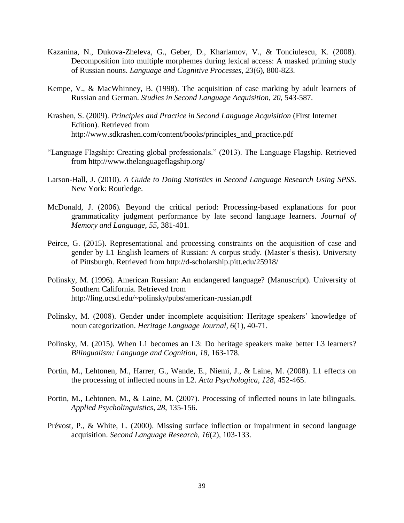- Kazanina, N., Dukova-Zheleva, G., Geber, D., Kharlamov, V., & Tonciulescu, K. (2008). Decomposition into multiple morphemes during lexical access: A masked priming study of Russian nouns. *Language and Cognitive Processes, 23*(6), 800-823.
- Kempe, V., & MacWhinney, B. (1998). The acquisition of case marking by adult learners of Russian and German. *Studies in Second Language Acquisition, 20*, 543-587.
- Krashen, S. (2009). *Principles and Practice in Second Language Acquisition* (First Internet Edition). Retrieved from [http://www.sdkrashen.com/content/books/principles\\_and\\_practice.pdf](http://www.sdkrashen.com/content/books/principles_and_practice.pdf)
- "Language Flagship: Creating global professionals." (2013). The Language Flagship. Retrieved from<http://www.thelanguageflagship.org/>
- Larson-Hall, J. (2010). *A Guide to Doing Statistics in Second Language Research Using SPSS*. New York: Routledge.
- McDonald, J. (2006)*.* Beyond the critical period: Processing-based explanations for poor grammaticality judgment performance by late second language learners*. Journal of Memory and Language, 55,* 381*-*401*.*
- Peirce, G. (2015). Representational and processing constraints on the acquisition of case and gender by L1 English learners of Russian: A corpus study. (Master's thesis). University of Pittsburgh. Retrieved from <http://d-scholarship.pitt.edu/25918/>
- Polinsky, M. (1996). American Russian: An endangered language? (Manuscript). University of Southern California. Retrieved from <http://ling.ucsd.edu/~polinsky/pubs/american-russian.pdf>
- Polinsky, M. (2008). Gender under incomplete acquisition: Heritage speakers' knowledge of noun categorization. *Heritage Language Journal, 6*(1), 40-71.
- Polinsky, M. (2015). When L1 becomes an L3: Do heritage speakers make better L3 learners? *Bilingualism: Language and Cognition*, *18*, 163-178.
- Portin, M., Lehtonen, M., Harrer, G., Wande, E., Niemi, J., & Laine, M. (2008). L1 effects on the processing of inflected nouns in L2. *Acta Psychologica, 128*, 452-465.
- Portin, M., Lehtonen, M., & Laine, M. (2007). Processing of inflected nouns in late bilinguals. *Applied Psycholinguistics, 28*, 135-156.
- Prévost, P., & White, L. (2000). Missing surface inflection or impairment in second language acquisition. *Second Language Research, 16*(2), 103-133.